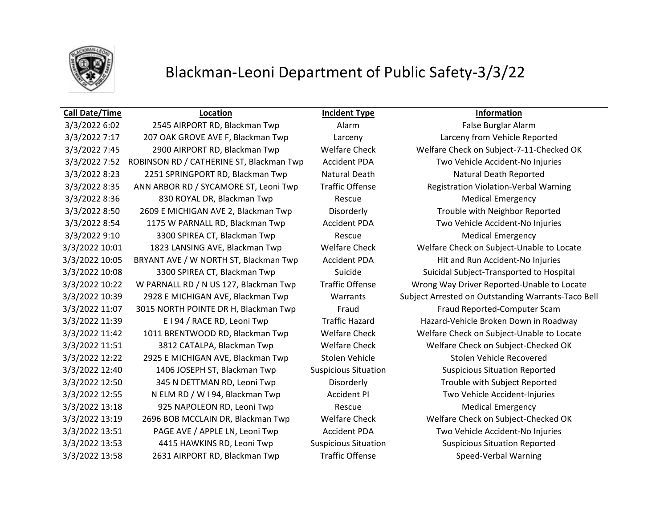

## Blackman-Leoni Department of Public Safety-3/3/22

### **Call Date/Time Location Incident Type Information**

3/3/2022 6:02 2545 AIRPORT RD, Blackman Twp Alarm Alarm False Burglar Alarm 3/3/2022 7:17 207 OAK GROVE AVE F, Blackman Twp Larceny Larceny from Vehicle Reported 3/3/2022 7:52 ROBINSON RD / CATHERINE ST, Blackman Twp Accident PDA Two Vehicle Accident-No Injuries 3/3/2022 8:23 2251 SPRINGPORT RD, Blackman Twp Natural Death Natural Death Reported 3/3/2022 8:35 ANN ARBOR RD / SYCAMORE ST, Leoni Twp Traffic Offense Registration Violation-Verbal Warning 3/3/2022 8:36 830 ROYAL DR, Blackman Twp Rescue Medical Emergency 3/3/2022 8:50 2609 E MICHIGAN AVE 2, Blackman Twp Disorderly Trouble with Neighbor Reported 3/3/2022 8:54 1175 W PARNALL RD, Blackman Twp Accident PDA Two Vehicle Accident-No Injuries 3/3/2022 9:10 3300 SPIREA CT, Blackman Twp Rescue Medical Emergency 3/3/2022 10:05 BRYANT AVE / W NORTH ST, Blackman Twp Accident PDA Hit and Run Accident-No Injuries 3/3/2022 10:08 3300 SPIREA CT, Blackman Twp Suicide Suicidal Subject-Transported to Hospital 3/3/2022 11:07 3015 NORTH POINTE DR H, Blackman Twp Fraud Fraud Fraud Reported-Computer Scam 3/3/2022 11:39 E I 94 / RACE RD, Leoni Twp Traffic Hazard Hazard-Vehicle Broken Down in Roadway 3/3/2022 11:51 3812 CATALPA, Blackman Twp Welfare Check Welfare Check on Subject-Checked OK 3/3/2022 12:22 2925 E MICHIGAN AVE, Blackman Twp Stolen Vehicle Stolen Vehicle Recovered 3/3/2022 12:40 1406 JOSEPH ST, Blackman Twp Suspicious Situation Suspicious Situation Reported 3/3/2022 12:50 345 N DETTMAN RD, Leoni Twp Disorderly Trouble with Subject Reported 3/3/2022 12:55 N ELM RD / W I 94, Blackman Twp Accident PI Two Vehicle Accident-Injuries 3/3/2022 13:18 925 NAPOLEON RD, Leoni Twp Rescue Rescue Medical Emergency 3/3/2022 13:19 2696 BOB MCCLAIN DR, Blackman Twp Welfare Check Welfare Check on Subject-Checked OK 3/3/2022 13:51 PAGE AVE / APPLE LN, Leoni Twp Accident PDA Two Vehicle Accident-No Injuries 3/3/2022 13:53 4415 HAWKINS RD, Leoni Twp Suspicious Situation Suspicious Situation Reported 3/3/2022 13:58 2631 AIRPORT RD, Blackman Twp Traffic Offense Speed-Verbal Warning

3/3/2022 7:45 2900 AIRPORT RD, Blackman Twp Welfare Check Welfare Check on Subject-7-11-Checked OK 3/3/2022 10:01 1823 LANSING AVE, Blackman Twp Welfare Check Welfare Check on Subject-Unable to Locate 3/3/2022 10:22 W PARNALL RD / N US 127, Blackman Twp Traffic Offense Wrong Way Driver Reported-Unable to Locate 3/3/2022 10:39 2928 E MICHIGAN AVE, Blackman Twp Warrants Subject Arrested on Outstanding Warrants-Taco Bell 3/3/2022 11:42 1011 BRENTWOOD RD, Blackman Twp Welfare Check Welfare Check on Subject-Unable to Locate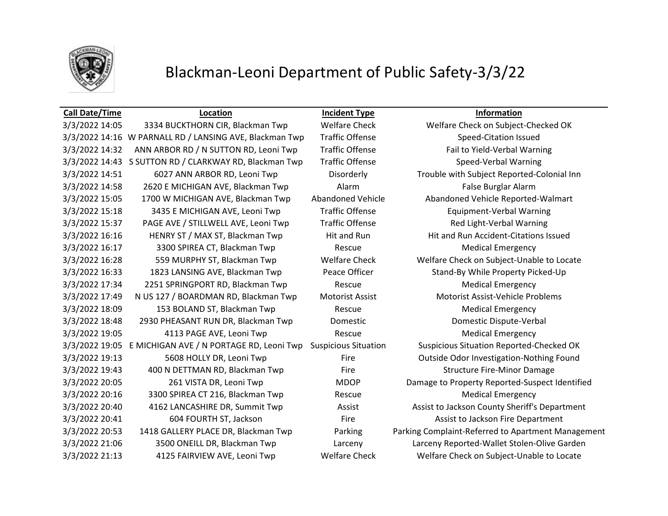

# Blackman-Leoni Department of Public Safety-3/3/22

| <b>Call Date/Time</b> | Location                                                | <b>Incident Type</b>        | Information                                        |
|-----------------------|---------------------------------------------------------|-----------------------------|----------------------------------------------------|
| 3/3/2022 14:05        | 3334 BUCKTHORN CIR, Blackman Twp                        | <b>Welfare Check</b>        | Welfare Check on Subject-Checked OK                |
|                       | 3/3/2022 14:16 W PARNALL RD / LANSING AVE, Blackman Twp | <b>Traffic Offense</b>      | <b>Speed-Citation Issued</b>                       |
| 3/3/2022 14:32        | ANN ARBOR RD / N SUTTON RD, Leoni Twp                   | <b>Traffic Offense</b>      | Fail to Yield-Verbal Warning                       |
|                       | 3/3/2022 14:43 S SUTTON RD / CLARKWAY RD, Blackman Twp  | <b>Traffic Offense</b>      | Speed-Verbal Warning                               |
| 3/3/2022 14:51        | 6027 ANN ARBOR RD, Leoni Twp                            | Disorderly                  | Trouble with Subject Reported-Colonial Inn         |
| 3/3/2022 14:58        | 2620 E MICHIGAN AVE, Blackman Twp                       | Alarm                       | False Burglar Alarm                                |
| 3/3/2022 15:05        | 1700 W MICHIGAN AVE, Blackman Twp                       | Abandoned Vehicle           | Abandoned Vehicle Reported-Walmart                 |
| 3/3/2022 15:18        | 3435 E MICHIGAN AVE, Leoni Twp                          | <b>Traffic Offense</b>      | <b>Equipment-Verbal Warning</b>                    |
| 3/3/2022 15:37        | PAGE AVE / STILLWELL AVE, Leoni Twp                     | <b>Traffic Offense</b>      | Red Light-Verbal Warning                           |
| 3/3/2022 16:16        | HENRY ST / MAX ST, Blackman Twp                         | Hit and Run                 | Hit and Run Accident-Citations Issued              |
| 3/3/2022 16:17        | 3300 SPIREA CT, Blackman Twp                            | Rescue                      | <b>Medical Emergency</b>                           |
| 3/3/2022 16:28        | 559 MURPHY ST, Blackman Twp                             | <b>Welfare Check</b>        | Welfare Check on Subject-Unable to Locate          |
| 3/3/2022 16:33        | 1823 LANSING AVE, Blackman Twp                          | Peace Officer               | Stand-By While Property Picked-Up                  |
| 3/3/2022 17:34        | 2251 SPRINGPORT RD, Blackman Twp                        | Rescue                      | <b>Medical Emergency</b>                           |
| 3/3/2022 17:49        | N US 127 / BOARDMAN RD, Blackman Twp                    | <b>Motorist Assist</b>      | Motorist Assist-Vehicle Problems                   |
| 3/3/2022 18:09        | 153 BOLAND ST, Blackman Twp                             | Rescue                      | <b>Medical Emergency</b>                           |
| 3/3/2022 18:48        | 2930 PHEASANT RUN DR, Blackman Twp                      | Domestic                    | Domestic Dispute-Verbal                            |
| 3/3/2022 19:05        | 4113 PAGE AVE, Leoni Twp                                | Rescue                      | <b>Medical Emergency</b>                           |
| 3/3/2022 19:05        | E MICHIGAN AVE / N PORTAGE RD, Leoni Twp                | <b>Suspicious Situation</b> | <b>Suspicious Situation Reported-Checked OK</b>    |
| 3/3/2022 19:13        | 5608 HOLLY DR, Leoni Twp                                | Fire                        | Outside Odor Investigation-Nothing Found           |
| 3/3/2022 19:43        | 400 N DETTMAN RD, Blackman Twp                          | Fire                        | <b>Structure Fire-Minor Damage</b>                 |
| 3/3/2022 20:05        | 261 VISTA DR, Leoni Twp                                 | <b>MDOP</b>                 | Damage to Property Reported-Suspect Identified     |
| 3/3/2022 20:16        | 3300 SPIREA CT 216, Blackman Twp                        | Rescue                      | <b>Medical Emergency</b>                           |
| 3/3/2022 20:40        | 4162 LANCASHIRE DR, Summit Twp                          | Assist                      | Assist to Jackson County Sheriff's Department      |
| 3/3/2022 20:41        | 604 FOURTH ST, Jackson                                  | Fire                        | Assist to Jackson Fire Department                  |
| 3/3/2022 20:53        | 1418 GALLERY PLACE DR, Blackman Twp                     | Parking                     | Parking Complaint-Referred to Apartment Management |
| 3/3/2022 21:06        | 3500 ONEILL DR, Blackman Twp                            | Larceny                     | Larceny Reported-Wallet Stolen-Olive Garden        |
| 3/3/2022 21:13        | 4125 FAIRVIEW AVE, Leoni Twp                            | <b>Welfare Check</b>        | Welfare Check on Subject-Unable to Locate          |